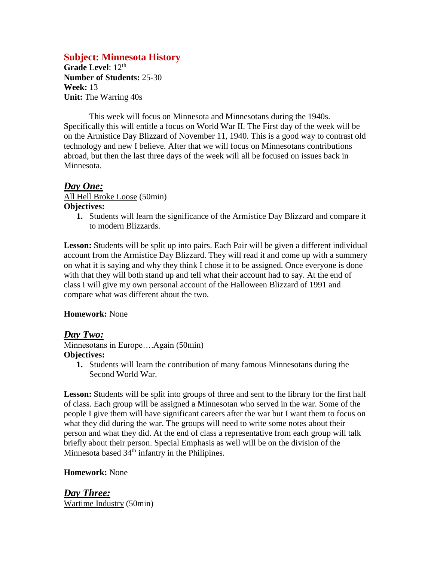## **Subject: Minnesota History**

Grade Level: 12<sup>th</sup> **Number of Students:** 25-30 **Week:** 13 **Unit:** The Warring 40s

This week will focus on Minnesota and Minnesotans during the 1940s. Specifically this will entitle a focus on World War II. The First day of the week will be on the Armistice Day Blizzard of November 11, 1940. This is a good way to contrast old technology and new I believe. After that we will focus on Minnesotans contributions abroad, but then the last three days of the week will all be focused on issues back in Minnesota.

#### *Day One:*

All Hell Broke Loose (50min) **Objectives:**

**1.** Students will learn the significance of the Armistice Day Blizzard and compare it to modern Blizzards.

Lesson: Students will be split up into pairs. Each Pair will be given a different individual account from the Armistice Day Blizzard. They will read it and come up with a summery on what it is saying and why they think I chose it to be assigned. Once everyone is done with that they will both stand up and tell what their account had to say. At the end of class I will give my own personal account of the Halloween Blizzard of 1991 and compare what was different about the two.

#### **Homework:** None

#### *Day Two:*

Minnesotans in Europe….Again (50min) **Objectives:**

**1.** Students will learn the contribution of many famous Minnesotans during the Second World War.

Lesson: Students will be split into groups of three and sent to the library for the first half of class. Each group will be assigned a Minnesotan who served in the war. Some of the people I give them will have significant careers after the war but I want them to focus on what they did during the war. The groups will need to write some notes about their person and what they did. At the end of class a representative from each group will talk briefly about their person. Special Emphasis as well will be on the division of the Minnesota based  $34<sup>th</sup>$  infantry in the Philipines.

#### **Homework:** None

*Day Three:* Wartime Industry (50min)